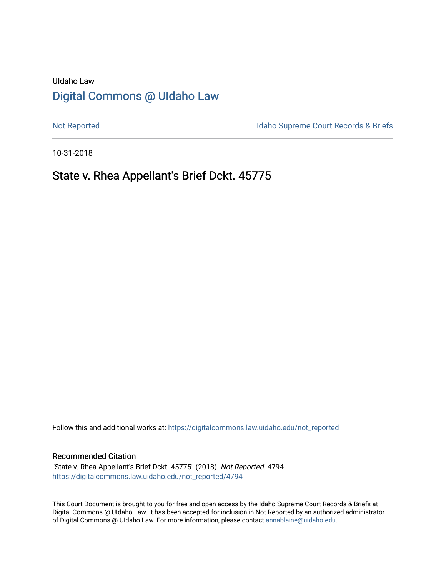# UIdaho Law [Digital Commons @ UIdaho Law](https://digitalcommons.law.uidaho.edu/)

[Not Reported](https://digitalcommons.law.uidaho.edu/not_reported) **Idaho Supreme Court Records & Briefs** 

10-31-2018

# State v. Rhea Appellant's Brief Dckt. 45775

Follow this and additional works at: [https://digitalcommons.law.uidaho.edu/not\\_reported](https://digitalcommons.law.uidaho.edu/not_reported?utm_source=digitalcommons.law.uidaho.edu%2Fnot_reported%2F4794&utm_medium=PDF&utm_campaign=PDFCoverPages) 

#### Recommended Citation

"State v. Rhea Appellant's Brief Dckt. 45775" (2018). Not Reported. 4794. [https://digitalcommons.law.uidaho.edu/not\\_reported/4794](https://digitalcommons.law.uidaho.edu/not_reported/4794?utm_source=digitalcommons.law.uidaho.edu%2Fnot_reported%2F4794&utm_medium=PDF&utm_campaign=PDFCoverPages)

This Court Document is brought to you for free and open access by the Idaho Supreme Court Records & Briefs at Digital Commons @ UIdaho Law. It has been accepted for inclusion in Not Reported by an authorized administrator of Digital Commons @ UIdaho Law. For more information, please contact [annablaine@uidaho.edu](mailto:annablaine@uidaho.edu).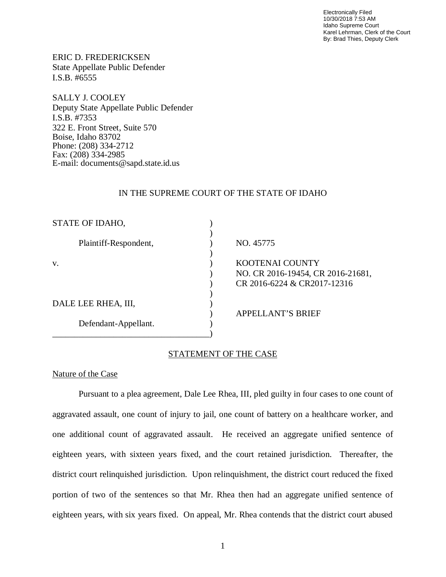Electronically Filed 10/30/2018 7:53 AM Idaho Supreme Court Karel Lehrman, Clerk of the Court By: Brad Thies, Deputy Clerk

ERIC D. FREDERICKSEN State Appellate Public Defender I.S.B. #6555

SALLY J. COOLEY Deputy State Appellate Public Defender I.S.B. #7353 322 E. Front Street, Suite 570 Boise, Idaho 83702 Phone: (208) 334-2712 Fax: (208) 334-2985 E-mail: documents@sapd.state.id.us

### IN THE SUPREME COURT OF THE STATE OF IDAHO

| STATE OF IDAHO,             |                                                                  |
|-----------------------------|------------------------------------------------------------------|
| Plaintiff-Respondent,<br>V. | NO. 45775                                                        |
|                             | KOOTENAI COUNTY                                                  |
|                             | NO. CR 2016-19454, CR 2016-21681,<br>CR 2016-6224 & CR2017-12316 |
| DALE LEE RHEA, III,         |                                                                  |
|                             | <b>APPELLANT'S BRIEF</b>                                         |
| Defendant-Appellant.        |                                                                  |

## STATEMENT OF THE CASE

## Nature of the Case

Pursuant to a plea agreement, Dale Lee Rhea, III, pled guilty in four cases to one count of aggravated assault, one count of injury to jail, one count of battery on a healthcare worker, and one additional count of aggravated assault. He received an aggregate unified sentence of eighteen years, with sixteen years fixed, and the court retained jurisdiction. Thereafter, the district court relinquished jurisdiction. Upon relinquishment, the district court reduced the fixed portion of two of the sentences so that Mr. Rhea then had an aggregate unified sentence of eighteen years, with six years fixed. On appeal, Mr. Rhea contends that the district court abused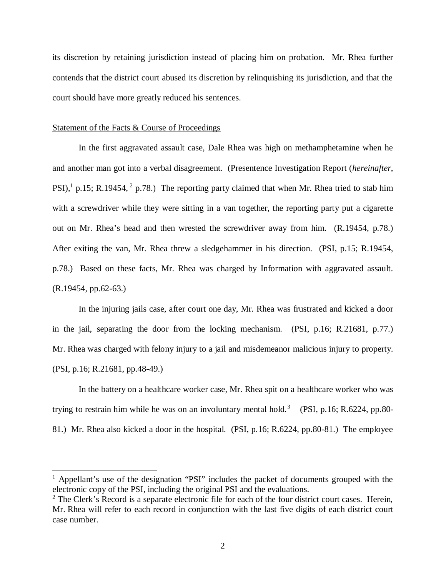its discretion by retaining jurisdiction instead of placing him on probation. Mr. Rhea further contends that the district court abused its discretion by relinquishing its jurisdiction, and that the court should have more greatly reduced his sentences.

#### Statement of the Facts & Course of Proceedings

In the first aggravated assault case, Dale Rhea was high on methamphetamine when he and another man got into a verbal disagreement. (Presentence Investigation Report (*hereinafter*, PSI),<sup>[1](#page-2-0)</sup> p.15; R.19454, <sup>[2](#page-2-1)</sup> p.78.) The reporting party claimed that when Mr. Rhea tried to stab him with a screwdriver while they were sitting in a van together, the reporting party put a cigarette out on Mr. Rhea's head and then wrested the screwdriver away from him. (R.19454, p.78.) After exiting the van, Mr. Rhea threw a sledgehammer in his direction. (PSI, p.15; R.19454, p.78.) Based on these facts, Mr. Rhea was charged by Information with aggravated assault. (R.19454, pp.62-63.)

In the injuring jails case, after court one day, Mr. Rhea was frustrated and kicked a door in the jail, separating the door from the locking mechanism. (PSI, p.16; R.21681, p.77.) Mr. Rhea was charged with felony injury to a jail and misdemeanor malicious injury to property. (PSI, p.16; R.21681, pp.48-49.)

In the battery on a healthcare worker case, Mr. Rhea spit on a healthcare worker who was trying to restrain him while he was on an involuntary mental hold.<sup>[3](#page-2-0)</sup> (PSI, p.16; R.6224, pp.80-81.) Mr. Rhea also kicked a door in the hospital. (PSI, p.16; R.6224, pp.80-81.) The employee

<span id="page-2-0"></span><sup>&</sup>lt;sup>1</sup> Appellant's use of the designation "PSI" includes the packet of documents grouped with the electronic copy of the PSI, including the original PSI and the evaluations.

<span id="page-2-1"></span> $2$  The Clerk's Record is a separate electronic file for each of the four district court cases. Herein, Mr. Rhea will refer to each record in conjunction with the last five digits of each district court case number.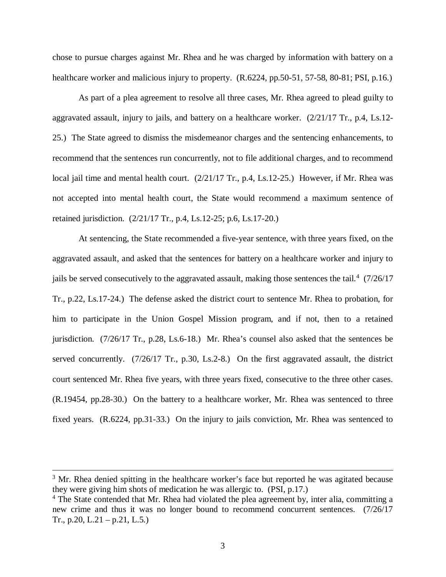chose to pursue charges against Mr. Rhea and he was charged by information with battery on a healthcare worker and malicious injury to property.  $(R.6224, pp.50-51, 57-58, 80-81; PSI, p.16.)$ 

As part of a plea agreement to resolve all three cases, Mr. Rhea agreed to plead guilty to aggravated assault, injury to jails, and battery on a healthcare worker.  $(2/21/17 \text{ Tr}$ , p.4, Ls.12-25.) The State agreed to dismiss the misdemeanor charges and the sentencing enhancements, to recommend that the sentences run concurrently, not to file additional charges, and to recommend local jail time and mental health court. (2/21/17 Tr., p.4, Ls.12-25.) However, if Mr. Rhea was not accepted into mental health court, the State would recommend a maximum sentence of retained jurisdiction. (2/21/17 Tr., p.4, Ls.12-25; p.6, Ls.17-20.)

At sentencing, the State recommended a five-year sentence, with three years fixed, on the aggravated assault, and asked that the sentences for battery on a healthcare worker and injury to jails be served consecutively to the aggravated assault, making those sentences the tail.<sup>[4](#page-3-0)</sup>  $(7/26/17)$ Tr., p.22, Ls.17-24.) The defense asked the district court to sentence Mr. Rhea to probation, for him to participate in the Union Gospel Mission program, and if not, then to a retained jurisdiction. (7/26/17 Tr., p.28, Ls.6-18.) Mr. Rhea's counsel also asked that the sentences be served concurrently. (7/26/17 Tr., p.30, Ls.2-8.) On the first aggravated assault, the district court sentenced Mr. Rhea five years, with three years fixed, consecutive to the three other cases. (R.19454, pp.28-30.) On the battery to a healthcare worker, Mr. Rhea was sentenced to three fixed years. (R.6224, pp.31-33.) On the injury to jails conviction, Mr. Rhea was sentenced to

<sup>&</sup>lt;sup>3</sup> Mr. Rhea denied spitting in the healthcare worker's face but reported he was agitated because they were giving him shots of medication he was allergic to. (PSI, p.17.)

<span id="page-3-0"></span><sup>&</sup>lt;sup>4</sup> The State contended that Mr. Rhea had violated the plea agreement by, inter alia, committing a new crime and thus it was no longer bound to recommend concurrent sentences. (7/26/17 Tr., p.20, L.21 – p.21, L.5.)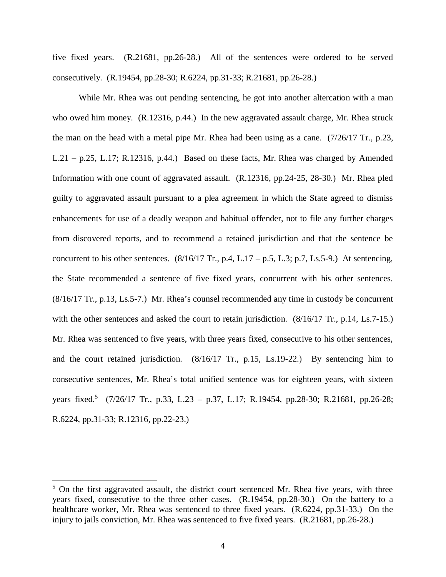five fixed years. (R.21681, pp.26-28.) All of the sentences were ordered to be served consecutively. (R.19454, pp.28-30; R.6224, pp.31-33; R.21681, pp.26-28.)

While Mr. Rhea was out pending sentencing, he got into another altercation with a man who owed him money. (R.12316, p.44.) In the new aggravated assault charge, Mr. Rhea struck the man on the head with a metal pipe Mr. Rhea had been using as a cane. (7/26/17 Tr., p.23, L.21 – p.25, L.17; R.12316, p.44.) Based on these facts, Mr. Rhea was charged by Amended Information with one count of aggravated assault. (R.12316, pp.24-25, 28-30.) Mr. Rhea pled guilty to aggravated assault pursuant to a plea agreement in which the State agreed to dismiss enhancements for use of a deadly weapon and habitual offender, not to file any further charges from discovered reports, and to recommend a retained jurisdiction and that the sentence be concurrent to his other sentences.  $(8/16/17 \text{ Tr.}, p.4, L.17 - p.5, L.3; p.7, Ls.5-9.)$  At sentencing, the State recommended a sentence of five fixed years, concurrent with his other sentences. (8/16/17 Tr., p.13, Ls.5-7.) Mr. Rhea's counsel recommended any time in custody be concurrent with the other sentences and asked the court to retain jurisdiction. (8/16/17 Tr., p.14, Ls.7-15.) Mr. Rhea was sentenced to five years, with three years fixed, consecutive to his other sentences, and the court retained jurisdiction. (8/16/17 Tr., p.15, Ls.19-22.) By sentencing him to consecutive sentences, Mr. Rhea's total unified sentence was for eighteen years, with sixteen years fixed.<sup>[5](#page-4-0)</sup> (7/26/17 Tr., p.33, L.23 – p.37, L.17; R.19454, pp.28-30; R.21681, pp.26-28; R.6224, pp.31-33; R.12316, pp.22-23.)

<span id="page-4-0"></span> $5$  On the first aggravated assault, the district court sentenced Mr. Rhea five years, with three years fixed, consecutive to the three other cases. (R.19454, pp.28-30.) On the battery to a healthcare worker, Mr. Rhea was sentenced to three fixed years. (R.6224, pp.31-33.) On the injury to jails conviction, Mr. Rhea was sentenced to five fixed years. (R.21681, pp.26-28.)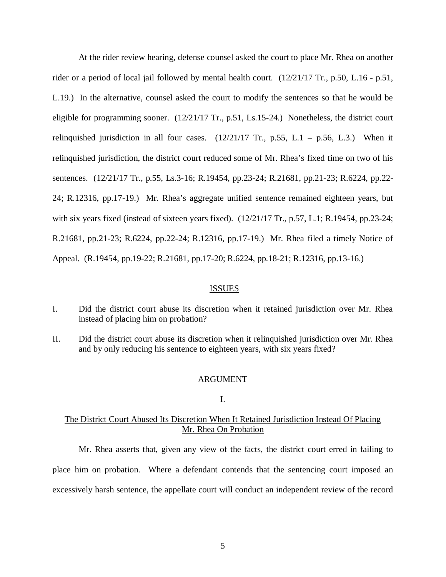At the rider review hearing, defense counsel asked the court to place Mr. Rhea on another rider or a period of local jail followed by mental health court. (12/21/17 Tr., p.50, L.16 - p.51, L.19.) In the alternative, counsel asked the court to modify the sentences so that he would be eligible for programming sooner. (12/21/17 Tr., p.51, Ls.15-24.) Nonetheless, the district court relinquished jurisdiction in all four cases.  $(12/21/17 \text{ Tr.}, p.55, L.1 - p.56, L.3.)$  When it relinquished jurisdiction, the district court reduced some of Mr. Rhea's fixed time on two of his sentences. (12/21/17 Tr., p.55, Ls.3-16; R.19454, pp.23-24; R.21681, pp.21-23; R.6224, pp.22- 24; R.12316, pp.17-19.) Mr. Rhea's aggregate unified sentence remained eighteen years, but with six years fixed (instead of sixteen years fixed). (12/21/17 Tr., p.57, L.1; R.19454, pp.23-24; R.21681, pp.21-23; R.6224, pp.22-24; R.12316, pp.17-19.) Mr. Rhea filed a timely Notice of Appeal. (R.19454, pp.19-22; R.21681, pp.17-20; R.6224, pp.18-21; R.12316, pp.13-16.)

#### ISSUES

- I. Did the district court abuse its discretion when it retained jurisdiction over Mr. Rhea instead of placing him on probation?
- II. Did the district court abuse its discretion when it relinquished jurisdiction over Mr. Rhea and by only reducing his sentence to eighteen years, with six years fixed?

#### ARGUMENT

#### I.

### The District Court Abused Its Discretion When It Retained Jurisdiction Instead Of Placing Mr. Rhea On Probation

Mr. Rhea asserts that, given any view of the facts, the district court erred in failing to place him on probation. Where a defendant contends that the sentencing court imposed an excessively harsh sentence, the appellate court will conduct an independent review of the record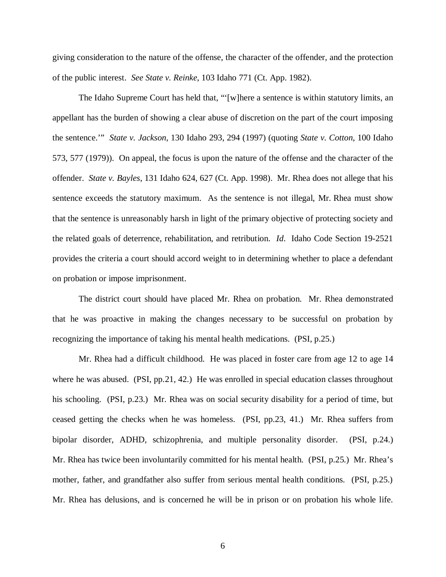giving consideration to the nature of the offense, the character of the offender, and the protection of the public interest. *See State v. Reinke*, 103 Idaho 771 (Ct. App. 1982).

The Idaho Supreme Court has held that, "'[w]here a sentence is within statutory limits, an appellant has the burden of showing a clear abuse of discretion on the part of the court imposing the sentence.'" *State v. Jackson*, 130 Idaho 293, 294 (1997) (quoting *State v. Cotton*, 100 Idaho 573, 577 (1979)). On appeal, the focus is upon the nature of the offense and the character of the offender. *State v. Bayles*, 131 Idaho 624, 627 (Ct. App. 1998). Mr. Rhea does not allege that his sentence exceeds the statutory maximum. As the sentence is not illegal, Mr. Rhea must show that the sentence is unreasonably harsh in light of the primary objective of protecting society and the related goals of deterrence, rehabilitation, and retribution. *Id*. Idaho Code Section 19-2521 provides the criteria a court should accord weight to in determining whether to place a defendant on probation or impose imprisonment.

The district court should have placed Mr. Rhea on probation. Mr. Rhea demonstrated that he was proactive in making the changes necessary to be successful on probation by recognizing the importance of taking his mental health medications. (PSI, p.25.)

Mr. Rhea had a difficult childhood. He was placed in foster care from age 12 to age 14 where he was abused. (PSI, pp.21, 42.) He was enrolled in special education classes throughout his schooling. (PSI, p.23.) Mr. Rhea was on social security disability for a period of time, but ceased getting the checks when he was homeless. (PSI, pp.23, 41.) Mr. Rhea suffers from bipolar disorder, ADHD, schizophrenia, and multiple personality disorder. (PSI, p.24.) Mr. Rhea has twice been involuntarily committed for his mental health. (PSI, p.25.) Mr. Rhea's mother, father, and grandfather also suffer from serious mental health conditions. (PSI, p.25.) Mr. Rhea has delusions, and is concerned he will be in prison or on probation his whole life.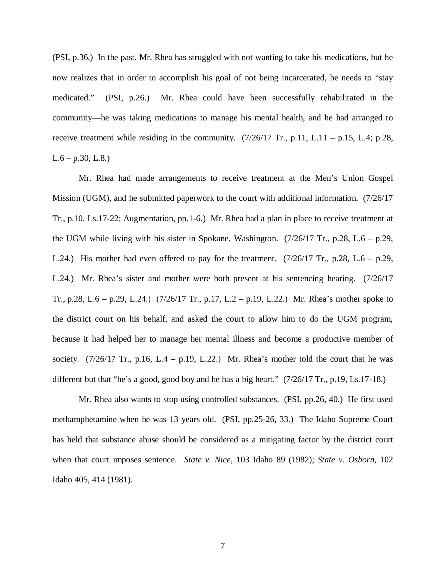(PSI, p.36.) In the past, Mr. Rhea has struggled with not wanting to take his medications, but he now realizes that in order to accomplish his goal of not being incarcerated, he needs to "stay medicated." (PSI, p.26.) Mr. Rhea could have been successfully rehabilitated in the community—he was taking medications to manage his mental health, and he had arranged to receive treatment while residing in the community.  $(7/26/17 \text{ Tr.}, \text{p.11}, \text{L.11} - \text{p.15}, \text{L.4}; \text{p.28},$  $L.6 - p.30, L.8.$ 

Mr. Rhea had made arrangements to receive treatment at the Men's Union Gospel Mission (UGM), and he submitted paperwork to the court with additional information. (7/26/17 Tr., p.10, Ls.17-22; Augmentation, pp.1-6.) Mr. Rhea had a plan in place to receive treatment at the UGM while living with his sister in Spokane, Washington.  $(7/26/17 \text{ Tr}$ , p.28, L.6 – p.29, L.24.) His mother had even offered to pay for the treatment.  $(7/26/17 \text{ Tr}, p.28, L.6 - p.29,$ L.24.) Mr. Rhea's sister and mother were both present at his sentencing hearing. (7/26/17 Tr., p.28, L.6 – p.29, L.24.) (7/26/17 Tr., p.17, L.2 – p.19, L.22.) Mr. Rhea's mother spoke to the district court on his behalf, and asked the court to allow him to do the UGM program, because it had helped her to manage her mental illness and become a productive member of society.  $(7/26/17 \text{ Tr.}, p.16, L.4 - p.19, L.22.)$  Mr. Rhea's mother told the court that he was different but that "he's a good, good boy and he has a big heart." (7/26/17 Tr., p.19, Ls.17-18.)

Mr. Rhea also wants to stop using controlled substances. (PSI, pp.26, 40.) He first used methamphetamine when he was 13 years old. (PSI, pp.25-26, 33.) The Idaho Supreme Court has held that substance abuse should be considered as a mitigating factor by the district court when that court imposes sentence. *State v. Nice*, 103 Idaho 89 (1982); *State v. Osborn*, 102 Idaho 405, 414 (1981).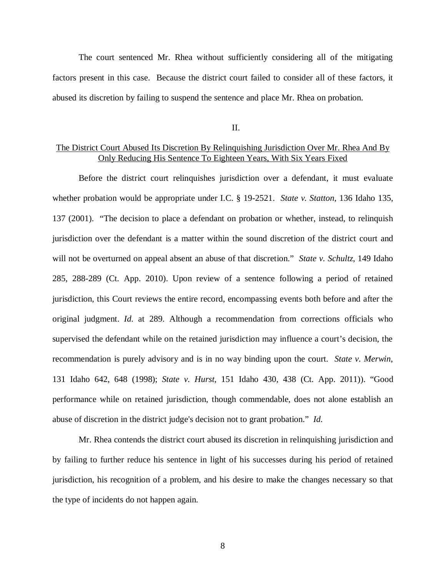The court sentenced Mr. Rhea without sufficiently considering all of the mitigating factors present in this case. Because the district court failed to consider all of these factors, it abused its discretion by failing to suspend the sentence and place Mr. Rhea on probation.

II.

# The District Court Abused Its Discretion By Relinquishing Jurisdiction Over Mr. Rhea And By Only Reducing His Sentence To Eighteen Years, With Six Years Fixed

Before the district court relinquishes jurisdiction over a defendant, it must evaluate whether probation would be appropriate under I.C. § 19-2521. *State v. Statton*, 136 Idaho 135, 137 (2001). "The decision to place a defendant on probation or whether, instead, to relinquish jurisdiction over the defendant is a matter within the sound discretion of the district court and will not be overturned on appeal absent an abuse of that discretion." *State v. Schultz*, 149 Idaho 285, 288-289 (Ct. App. 2010). Upon review of a sentence following a period of retained jurisdiction, this Court reviews the entire record, encompassing events both before and after the original judgment. *Id*. at 289. Although a recommendation from corrections officials who supervised the defendant while on the retained jurisdiction may influence a court's decision, the recommendation is purely advisory and is in no way binding upon the court. *State v. Merwin*, 131 Idaho 642, 648 (1998); *State v. Hurst*, 151 Idaho 430, 438 (Ct. App. 2011)). "Good performance while on retained jurisdiction, though commendable, does not alone establish an abuse of discretion in the district judge's decision not to grant probation." *Id*.

Mr. Rhea contends the district court abused its discretion in relinquishing jurisdiction and by failing to further reduce his sentence in light of his successes during his period of retained jurisdiction, his recognition of a problem, and his desire to make the changes necessary so that the type of incidents do not happen again.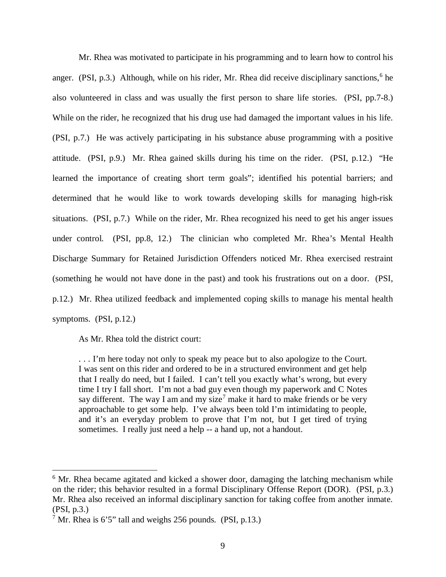Mr. Rhea was motivated to participate in his programming and to learn how to control his anger. (PSI, p.3.) Although, while on his rider, Mr. Rhea did receive disciplinary sanctions,  $6$  he also volunteered in class and was usually the first person to share life stories. (PSI, pp.7-8.) While on the rider, he recognized that his drug use had damaged the important values in his life. (PSI, p.7.) He was actively participating in his substance abuse programming with a positive attitude. (PSI, p.9.) Mr. Rhea gained skills during his time on the rider. (PSI, p.12.) "He learned the importance of creating short term goals"; identified his potential barriers; and determined that he would like to work towards developing skills for managing high-risk situations. (PSI, p.7.) While on the rider, Mr. Rhea recognized his need to get his anger issues under control. (PSI, pp.8, 12.) The clinician who completed Mr. Rhea's Mental Health Discharge Summary for Retained Jurisdiction Offenders noticed Mr. Rhea exercised restraint (something he would not have done in the past) and took his frustrations out on a door. (PSI, p.12.) Mr. Rhea utilized feedback and implemented coping skills to manage his mental health symptoms. (PSI, p.12.)

As Mr. Rhea told the district court:

... I'm here today not only to speak my peace but to also apologize to the Court. I was sent on this rider and ordered to be in a structured environment and get help that I really do need, but I failed. I can't tell you exactly what's wrong, but every time I try I fall short. I'm not a bad guy even though my paperwork and C Notes say different. The way I am and my size<sup>[7](#page-9-1)</sup> make it hard to make friends or be very approachable to get some help. I've always been told I'm intimidating to people, and it's an everyday problem to prove that I'm not, but I get tired of trying sometimes. I really just need a help -- a hand up, not a handout.

<span id="page-9-0"></span><sup>&</sup>lt;sup>6</sup> Mr. Rhea became agitated and kicked a shower door, damaging the latching mechanism while on the rider; this behavior resulted in a formal Disciplinary Offense Report (DOR). (PSI, p.3.) Mr. Rhea also received an informal disciplinary sanction for taking coffee from another inmate. (PSI, p.3.)

<span id="page-9-1"></span> $7$  Mr. Rhea is 6'5" tall and weighs 256 pounds. (PSI, p.13.)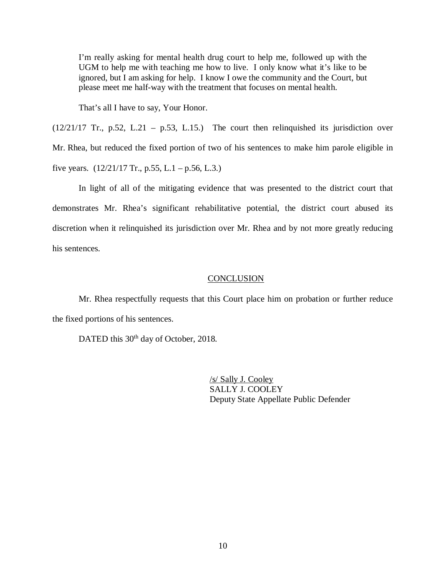I'm really asking for mental health drug court to help me, followed up with the UGM to help me with teaching me how to live. I only know what it's like to be ignored, but I am asking for help. I know I owe the community and the Court, but please meet me half-way with the treatment that focuses on mental health.

That's all I have to say, Your Honor.

 $(12/21/17$  Tr., p.52, L.21 – p.53, L.15.) The court then relinquished its jurisdiction over Mr. Rhea, but reduced the fixed portion of two of his sentences to make him parole eligible in five years.  $(12/21/17 \text{ Tr.}, p.55, L.1 - p.56, L.3.)$ 

In light of all of the mitigating evidence that was presented to the district court that demonstrates Mr. Rhea's significant rehabilitative potential, the district court abused its discretion when it relinquished its jurisdiction over Mr. Rhea and by not more greatly reducing his sentences.

#### **CONCLUSION**

Mr. Rhea respectfully requests that this Court place him on probation or further reduce the fixed portions of his sentences.

DATED this 30<sup>th</sup> day of October, 2018.

/s/ Sally J. Cooley SALLY J. COOLEY Deputy State Appellate Public Defender